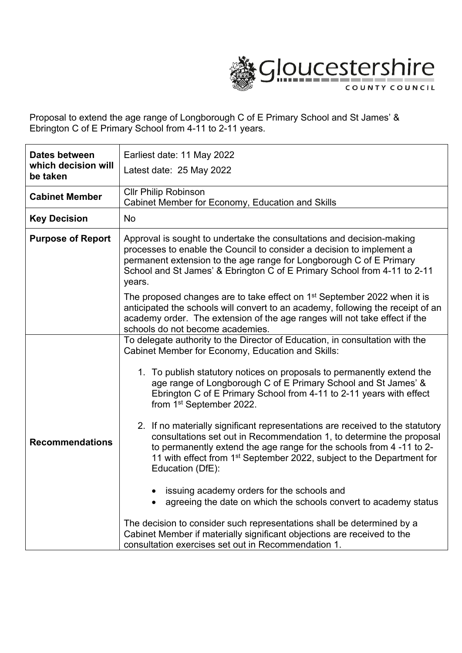

Proposal to extend the age range of Longborough C of E Primary School and St James' & Ebrington C of E Primary School from 4-11 to 2-11 years.

| Dates between                   | Earliest date: 11 May 2022                                                                                                                                                                                                                                                                                                                                                                                                                                                                                                                                                                                                                                                                                                                                                                                                                                                                                                                                                                                                                                          |  |
|---------------------------------|---------------------------------------------------------------------------------------------------------------------------------------------------------------------------------------------------------------------------------------------------------------------------------------------------------------------------------------------------------------------------------------------------------------------------------------------------------------------------------------------------------------------------------------------------------------------------------------------------------------------------------------------------------------------------------------------------------------------------------------------------------------------------------------------------------------------------------------------------------------------------------------------------------------------------------------------------------------------------------------------------------------------------------------------------------------------|--|
| which decision will<br>be taken | Latest date: 25 May 2022                                                                                                                                                                                                                                                                                                                                                                                                                                                                                                                                                                                                                                                                                                                                                                                                                                                                                                                                                                                                                                            |  |
| <b>Cabinet Member</b>           | Cllr Philip Robinson<br>Cabinet Member for Economy, Education and Skills                                                                                                                                                                                                                                                                                                                                                                                                                                                                                                                                                                                                                                                                                                                                                                                                                                                                                                                                                                                            |  |
| <b>Key Decision</b>             | <b>No</b>                                                                                                                                                                                                                                                                                                                                                                                                                                                                                                                                                                                                                                                                                                                                                                                                                                                                                                                                                                                                                                                           |  |
| <b>Purpose of Report</b>        | Approval is sought to undertake the consultations and decision-making<br>processes to enable the Council to consider a decision to implement a<br>permanent extension to the age range for Longborough C of E Primary<br>School and St James' & Ebrington C of E Primary School from 4-11 to 2-11<br>years.                                                                                                                                                                                                                                                                                                                                                                                                                                                                                                                                                                                                                                                                                                                                                         |  |
|                                 | The proposed changes are to take effect on 1 <sup>st</sup> September 2022 when it is<br>anticipated the schools will convert to an academy, following the receipt of an<br>academy order. The extension of the age ranges will not take effect if the<br>schools do not become academies.                                                                                                                                                                                                                                                                                                                                                                                                                                                                                                                                                                                                                                                                                                                                                                           |  |
| <b>Recommendations</b>          | To delegate authority to the Director of Education, in consultation with the<br>Cabinet Member for Economy, Education and Skills:<br>1. To publish statutory notices on proposals to permanently extend the<br>age range of Longborough C of E Primary School and St James' &<br>Ebrington C of E Primary School from 4-11 to 2-11 years with effect<br>from 1 <sup>st</sup> September 2022.<br>2. If no materially significant representations are received to the statutory<br>consultations set out in Recommendation 1, to determine the proposal<br>to permanently extend the age range for the schools from 4-11 to 2-<br>11 with effect from 1 <sup>st</sup> September 2022, subject to the Department for<br>Education (DfE):<br>issuing academy orders for the schools and<br>agreeing the date on which the schools convert to academy status<br>The decision to consider such representations shall be determined by a<br>Cabinet Member if materially significant objections are received to the<br>consultation exercises set out in Recommendation 1. |  |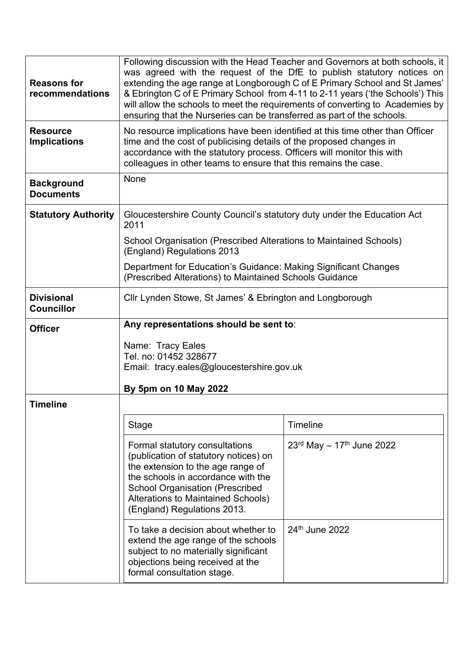| <b>Reasons for</b><br>recommendations  | Following discussion with the Head Teacher and Governors at both schools, it<br>was agreed with the request of the DfE to publish statutory notices on<br>extending the age range at Longborough C of E Primary School and St James'<br>& Ebrington C of E Primary School from 4-11 to 2-11 years ('the Schools') This<br>will allow the schools to meet the requirements of converting to Academies by<br>ensuring that the Nurseries can be transferred as part of the schools. |                                            |
|----------------------------------------|-----------------------------------------------------------------------------------------------------------------------------------------------------------------------------------------------------------------------------------------------------------------------------------------------------------------------------------------------------------------------------------------------------------------------------------------------------------------------------------|--------------------------------------------|
| <b>Resource</b><br><b>Implications</b> | No resource implications have been identified at this time other than Officer<br>time and the cost of publicising details of the proposed changes in<br>accordance with the statutory process. Officers will monitor this with<br>colleagues in other teams to ensure that this remains the case.                                                                                                                                                                                 |                                            |
| <b>Background</b><br><b>Documents</b>  | None                                                                                                                                                                                                                                                                                                                                                                                                                                                                              |                                            |
| <b>Statutory Authority</b>             | Gloucestershire County Council's statutory duty under the Education Act<br>2011                                                                                                                                                                                                                                                                                                                                                                                                   |                                            |
|                                        | School Organisation (Prescribed Alterations to Maintained Schools)<br>(England) Regulations 2013                                                                                                                                                                                                                                                                                                                                                                                  |                                            |
|                                        | Department for Education's Guidance: Making Significant Changes<br>(Prescribed Alterations) to Maintained Schools Guidance                                                                                                                                                                                                                                                                                                                                                        |                                            |
| <b>Divisional</b><br><b>Councillor</b> | Cllr Lynden Stowe, St James' & Ebrington and Longborough                                                                                                                                                                                                                                                                                                                                                                                                                          |                                            |
|                                        | Any representations should be sent to:                                                                                                                                                                                                                                                                                                                                                                                                                                            |                                            |
| <b>Officer</b>                         |                                                                                                                                                                                                                                                                                                                                                                                                                                                                                   |                                            |
|                                        | Name: Tracy Eales<br>Tel. no: 01452 328677<br>Email: tracy.eales@gloucestershire.gov.uk                                                                                                                                                                                                                                                                                                                                                                                           |                                            |
| <b>Timeline</b>                        | By 5pm on 10 May 2022                                                                                                                                                                                                                                                                                                                                                                                                                                                             |                                            |
|                                        | Stage                                                                                                                                                                                                                                                                                                                                                                                                                                                                             | <b>Timeline</b>                            |
|                                        | Formal statutory consultations<br>(publication of statutory notices) on<br>the extension to the age range of<br>the schools in accordance with the<br><b>School Organisation (Prescribed</b><br>Alterations to Maintained Schools)<br>(England) Regulations 2013.                                                                                                                                                                                                                 | $23^{rd}$ May - 17 <sup>th</sup> June 2022 |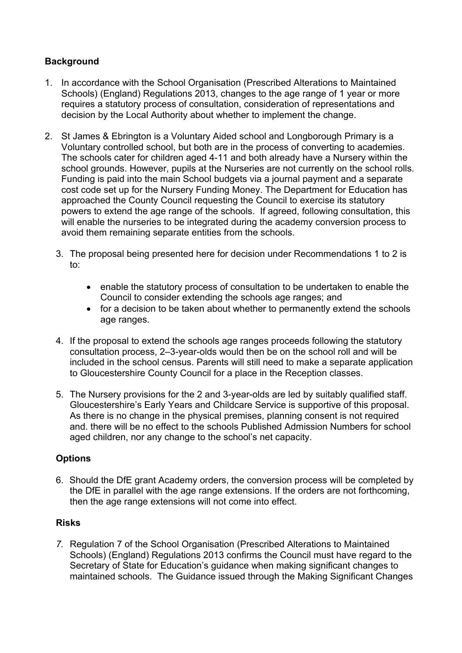# **Background**

- 1. In accordance with the School Organisation (Prescribed Alterations to Maintained Schools) (England) Regulations 2013, changes to the age range of 1 year or more requires a statutory process of consultation, consideration of representations and decision by the Local Authority about whether to implement the change.
- 2. St James & Ebrington is a Voluntary Aided school and Longborough Primary is a Voluntary controlled school, but both are in the process of converting to academies. The schools cater for children aged 4-11 and both already have a Nursery within the school grounds. However, pupils at the Nurseries are not currently on the school rolls. Funding is paid into the main School budgets via a journal payment and a separate cost code set up for the Nursery Funding Money. The Department for Education has approached the County Council requesting the Council to exercise its statutory powers to extend the age range of the schools. If agreed, following consultation, this will enable the nurseries to be integrated during the academy conversion process to avoid them remaining separate entities from the schools.
	- 3. The proposal being presented here for decision under Recommendations 1 to 2 is to:
		- enable the statutory process of consultation to be undertaken to enable the Council to consider extending the schools age ranges; and
		- for a decision to be taken about whether to permanently extend the schools age ranges.
	- 4. If the proposal to extend the schools age ranges proceeds following the statutory consultation process, 2–3-year-olds would then be on the school roll and will be included in the school census. Parents will still need to make a separate application to Gloucestershire County Council for a place in the Reception classes.
	- 5. The Nursery provisions for the 2 and 3-year-olds are led by suitably qualified staff. Gloucestershire's Early Years and Childcare Service is supportive of this proposal. As there is no change in the physical premises, planning consent is not required and. there will be no effect to the schools Published Admission Numbers for school aged children, nor any change to the school's net capacity.

## **Options**

6. Should the DfE grant Academy orders, the conversion process will be completed by the DfE in parallel with the age range extensions. If the orders are not forthcoming, then the age range extensions will not come into effect.

## **Risks**

*7.* Regulation 7 of the School Organisation (Prescribed Alterations to Maintained Schools) (England) Regulations 2013 confirms the Council must have regard to the Secretary of State for Education's guidance when making significant changes to maintained schools. The Guidance issued through the Making Significant Changes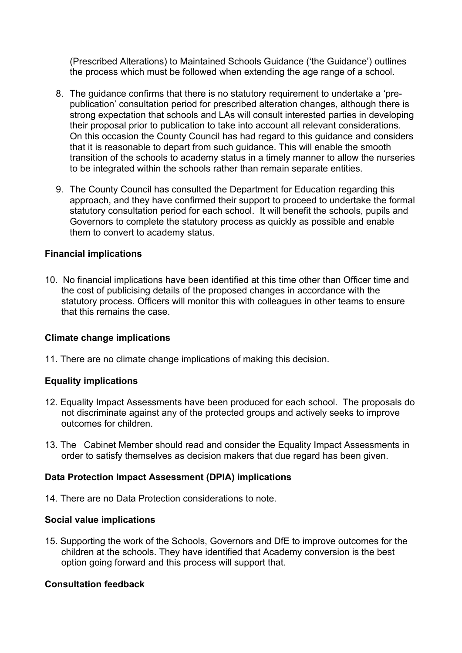(Prescribed Alterations) to Maintained Schools Guidance ('the Guidance') outlines the process which must be followed when extending the age range of a school.

- 8. The guidance confirms that there is no statutory requirement to undertake a 'prepublication' consultation period for prescribed alteration changes, although there is strong expectation that schools and LAs will consult interested parties in developing their proposal prior to publication to take into account all relevant considerations. On this occasion the County Council has had regard to this guidance and considers that it is reasonable to depart from such guidance. This will enable the smooth transition of the schools to academy status in a timely manner to allow the nurseries to be integrated within the schools rather than remain separate entities.
- 9. The County Council has consulted the Department for Education regarding this approach, and they have confirmed their support to proceed to undertake the formal statutory consultation period for each school. It will benefit the schools, pupils and Governors to complete the statutory process as quickly as possible and enable them to convert to academy status.

#### **Financial implications**

10. No financial implications have been identified at this time other than Officer time and the cost of publicising details of the proposed changes in accordance with the statutory process. Officers will monitor this with colleagues in other teams to ensure that this remains the case.

## **Climate change implications**

11. There are no climate change implications of making this decision.

## **Equality implications**

- 12. Equality Impact Assessments have been produced for each school. The proposals do not discriminate against any of the protected groups and actively seeks to improve outcomes for children.
- 13. The Cabinet Member should read and consider the Equality Impact Assessments in order to satisfy themselves as decision makers that due regard has been given.

## **Data Protection Impact Assessment (DPIA) implications**

14. There are no Data Protection considerations to note.

#### **Social value implications**

15. Supporting the work of the Schools, Governors and DfE to improve outcomes for the children at the schools. They have identified that Academy conversion is the best option going forward and this process will support that.

## **Consultation feedback**